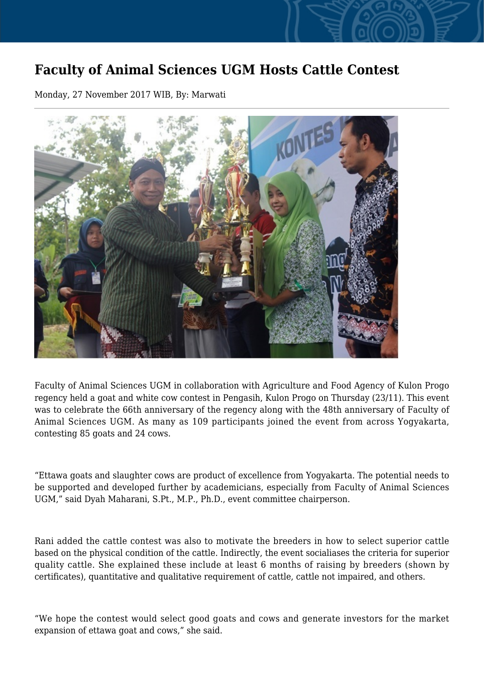## **Faculty of Animal Sciences UGM Hosts Cattle Contest**

Monday, 27 November 2017 WIB, By: Marwati



Faculty of Animal Sciences UGM in collaboration with Agriculture and Food Agency of Kulon Progo regency held a goat and white cow contest in Pengasih, Kulon Progo on Thursday (23/11). This event was to celebrate the 66th anniversary of the regency along with the 48th anniversary of Faculty of Animal Sciences UGM. As many as 109 participants joined the event from across Yogyakarta, contesting 85 goats and 24 cows.

"Ettawa goats and slaughter cows are product of excellence from Yogyakarta. The potential needs to be supported and developed further by academicians, especially from Faculty of Animal Sciences UGM," said Dyah Maharani, S.Pt., M.P., Ph.D., event committee chairperson.

Rani added the cattle contest was also to motivate the breeders in how to select superior cattle based on the physical condition of the cattle. Indirectly, the event socialiases the criteria for superior quality cattle. She explained these include at least 6 months of raising by breeders (shown by certificates), quantitative and qualitative requirement of cattle, cattle not impaired, and others.

"We hope the contest would select good goats and cows and generate investors for the market expansion of ettawa goat and cows," she said.